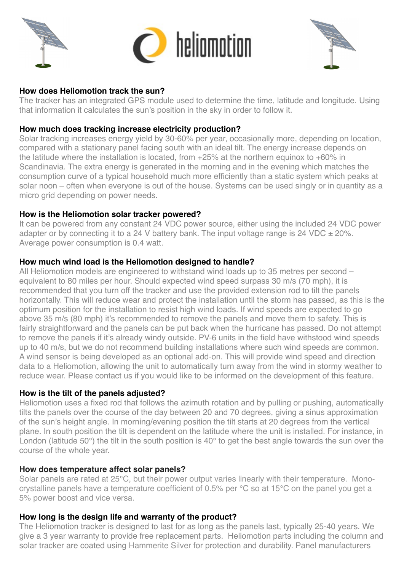



### **How does Heliomotion track the sun?**

The tracker has an integrated GPS module used to determine the time, latitude and longitude. Using that information it calculates the sun's position in the sky in order to follow it.

### **How much does tracking increase electricity production?**

Solar tracking increases energy yield by 30-60% per year, occasionally more, depending on location, compared with a stationary panel facing south with an ideal tilt. The energy increase depends on the latitude where the installation is located, from +25% at the northern equinox to +60% in Scandinavia. The extra energy is generated in the morning and in the evening which matches the consumption curve of a typical household much more efficiently than a static system which peaks at solar noon – often when everyone is out of the house. Systems can be used singly or in quantity as a micro grid depending on power needs.

### **How is the Heliomotion solar tracker powered?**

It can be powered from any constant 24 VDC power source, either using the included 24 VDC power adapter or by connecting it to a 24 V battery bank. The input voltage range is 24 VDC  $\pm$  20%. Average power consumption is 0.4 watt.

### **How much wind load is the Heliomotion designed to handle?**

All Heliomotion models are engineered to withstand wind loads up to 35 metres per second – equivalent to 80 miles per hour. Should expected wind speed surpass 30 m/s (70 mph), it is recommended that you turn off the tracker and use the provided extension rod to tilt the panels horizontally. This will reduce wear and protect the installation until the storm has passed, as this is the optimum position for the installation to resist high wind loads. If wind speeds are expected to go above 35 m/s (80 mph) it's recommended to remove the panels and move them to safety. This is fairly straightforward and the panels can be put back when the hurricane has passed. Do not attempt to remove the panels if it's already windy outside. PV-6 units in the field have withstood wind speeds up to 40 m/s, but we do not recommend building installations where such wind speeds are common. A wind sensor is being developed as an optional add-on. This will provide wind speed and direction data to a Heliomotion, allowing the unit to automatically turn away from the wind in stormy weather to reduce wear. Please contact us if you would like to be informed on the development of this feature.

## **How is the tilt of the panels adjusted?**

Heliomotion uses a fixed rod that follows the azimuth rotation and by pulling or pushing, automatically tilts the panels over the course of the day between 20 and 70 degrees, giving a sinus approximation of the sun's height angle. In morning/evening position the tilt starts at 20 degrees from the vertical plane. In south position the tilt is dependent on the latitude where the unit is installed. For instance, in London (latitude 50°) the tilt in the south position is 40° to get the best angle towards the sun over the course of the whole year.

#### **How does temperature affect solar panels?**

Solar panels are rated at 25°C, but their power output varies linearly with their temperature. Monocrystalline panels have a temperature coefficient of 0.5% per °C so at 15°C on the panel you get a 5% power boost and vice versa.

## **How long is the design life and warranty of the product?**

The Heliomotion tracker is designed to last for as long as the panels last, typically 25-40 years. We give a 3 year warranty to provide free replacement parts. Heliomotion parts including the column and solar tracker are coated using Hammerite Silver for protection and durability. Panel manufacturers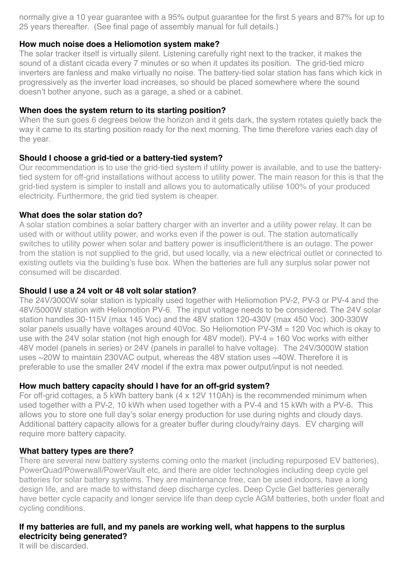normally give a 10 year guarantee with a 95% output guarantee for the first 5 years and 87% for up to 25 years thereafter. (See final page of assembly manual for full details.)

### **How much noise does a Heliomotion system make?**

The solar tracker itself is virtually silent. Listening carefully right next to the tracker, it makes the sound of a distant cicada every 7 minutes or so when it updates its position. The grid-tied micro inverters are fanless and make virtually no noise. The battery-tied solar station has fans which kick in progressively as the inverter load increases, so should be placed somewhere where the sound doesn't bother anyone, such as a garage, a shed or a cabinet.

#### **When does the system return to its starting position?**

When the sun goes 6 degrees below the horizon and it gets dark, the system rotates quietly back the way it came to its starting position ready for the next morning. The time therefore varies each day of the year.

### **Should I choose a grid-tied or a battery-tied system?**

Our recommendation is to use the grid-tied system if utility power is available, and to use the batterytied system for off-grid installations without access to utility power. The main reason for this is that the grid-tied system is simpler to install and allows you to automatically utilise 100% of your produced electricity. Furthermore, the grid tied system is cheaper.

### **What does the solar station do?**

A solar station combines a solar battery charger with an inverter and a utility power relay. It can be used with or without utility power, and works even if the power is out. The station automatically switches to utility power when solar and battery power is insufficient/there is an outage. The power from the station is not supplied to the grid, but used locally, via a new electrical outlet or connected to existing outlets via the building's fuse box. When the batteries are full any surplus solar power not consumed will be discarded.

## **Should I use a 24 volt or 48 volt solar station?**

The 24V/3000W solar station is typically used together with Heliomotion PV-2, PV-3 or PV-4 and the 48V/5000W station with Heliomotion PV-6. The input voltage needs to be considered. The 24V solar station handles 30-115V (max 145 Voc) and the 48V station 120-430V (max 450 Voc). 300-330W solar panels usually have voltages around 40Voc. So Heliomotion PV-3M = 120 Voc which is okay to use with the 24V solar station (not high enough for 48V model). PV-4 = 160 Voc works with either 48V model (panels in series) or 24V (panels in parallel to halve voltage). The 24V/3000W station uses ~20W to maintain 230VAC output, whereas the 48V station uses ~40W. Therefore it is preferable to use the smaller 24V model if the extra max power output/input is not needed.

## **How much battery capacity should I have for an off-grid system?**

For off-grid cottages, a 5 kWh battery bank (4 x 12V 110Ah) is the recommended minimum when used together with a PV-2, 10 kWh when used together with a PV-4 and 15 kWh with a PV-6. This allows you to store one full day's solar energy production for use during nights and cloudy days. Additional battery capacity allows for a greater buffer during cloudy/rainy days. EV charging will require more battery capacity.

#### **What battery types are there?**

There are several new battery systems coming onto the market (including repurposed EV batteries), PowerQuad/Powerwall/PowerVault etc, and there are older technologies including deep cycle gel batteries for solar battery systems. They are maintenance free, can be used indoors, have a long design life, and are made to withstand deep discharge cycles. Deep Cycle Gel batteries generally have better cycle capacity and longer service life than deep cycle AGM batteries, both under float and cycling conditions.

## **If my batteries are full, and my panels are working well, what happens to the surplus electricity being generated?**

It will be discarded.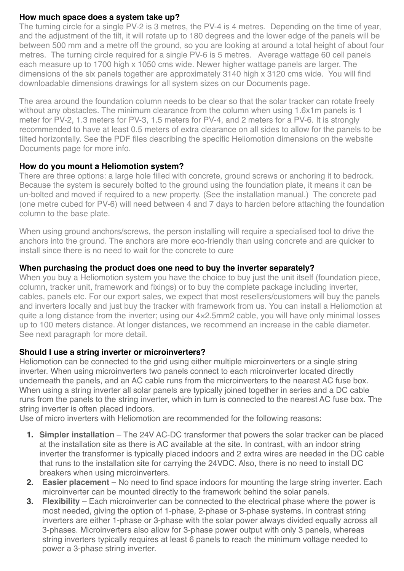### **How much space does a system take up?**

The turning circle for a single PV-2 is 3 metres, the PV-4 is 4 metres. Depending on the time of year, and the adjustment of the tilt, it will rotate up to 180 degrees and the lower edge of the panels will be between 500 mm and a metre off the ground, so you are looking at around a total height of about four metres. The turning circle required for a single PV-6 is 5 metres. Average wattage 60 cell panels each measure up to 1700 high x 1050 cms wide. Newer higher wattage panels are larger. The dimensions of the six panels together are approximately 3140 high x 3120 cms wide. You will find downloadable dimensions drawings for all system sizes on our Documents page.

The area around the foundation column needs to be clear so that the solar tracker can rotate freely without any obstacles. The minimum clearance from the column when using 1.6x1m panels is 1 meter for PV-2, 1.3 meters for PV-3, 1.5 meters for PV-4, and 2 meters for a PV-6. It is strongly recommended to have at least 0.5 meters of extra clearance on all sides to allow for the panels to be tilted horizontally. See the PDF files describing the specific Heliomotion dimensions on the website Documents page for more info.

# **How do you mount a Heliomotion system?**

There are three options: a large hole filled with concrete, ground screws or anchoring it to bedrock. Because the system is securely bolted to the ground using the foundation plate, it means it can be un-bolted and moved if required to a new property. (See the installation manual.) The concrete pad (one metre cubed for PV-6) will need between 4 and 7 days to harden before attaching the foundation column to the base plate.

When using ground anchors/screws, the person installing will require a specialised tool to drive the anchors into the ground. The anchors are more eco-friendly than using concrete and are quicker to install since there is no need to wait for the concrete to cure

# **When purchasing the product does one need to buy the inverter separately?**

When you buy a Heliomotion system you have the choice to buy just the unit itself (foundation piece, column, tracker unit, framework and fixings) or to buy the complete package including inverter, cables, panels etc. For our export sales, we expect that most resellers/customers will buy the panels and inverters locally and just buy the tracker with framework from us. You can install a Heliomotion at quite a long distance from the inverter; using our 4×2.5mm2 cable, you will have only minimal losses up to 100 meters distance. At longer distances, we recommend an increase in the cable diameter. See next paragraph for more detail.

## **Should I use a string inverter or microinverters?**

Heliomotion can be connected to the grid using either multiple microinverters or a single string inverter. When using microinverters two panels connect to each microinverter located directly underneath the panels, and an AC cable runs from the microinverters to the nearest AC fuse box. When using a string inverter all solar panels are typically joined together in series and a DC cable runs from the panels to the string inverter, which in turn is connected to the nearest AC fuse box. The string inverter is often placed indoors.

Use of micro inverters with Heliomotion are recommended for the following reasons:

- **1. Simpler installation** The 24V AC-DC transformer that powers the solar tracker can be placed at the installation site as there is AC available at the site. In contrast, with an indoor string inverter the transformer is typically placed indoors and 2 extra wires are needed in the DC cable that runs to the installation site for carrying the 24VDC. Also, there is no need to install DC breakers when using microinverters.
- **2. Easier placement** No need to find space indoors for mounting the large string inverter. Each microinverter can be mounted directly to the framework behind the solar panels.
- **3. Flexibility** Each microinverter can be connected to the electrical phase where the power is most needed, giving the option of 1-phase, 2-phase or 3-phase systems. In contrast string inverters are either 1-phase or 3-phase with the solar power always divided equally across all 3-phases. Microinverters also allow for 3-phase power output with only 3 panels, whereas string inverters typically requires at least 6 panels to reach the minimum voltage needed to power a 3-phase string inverter.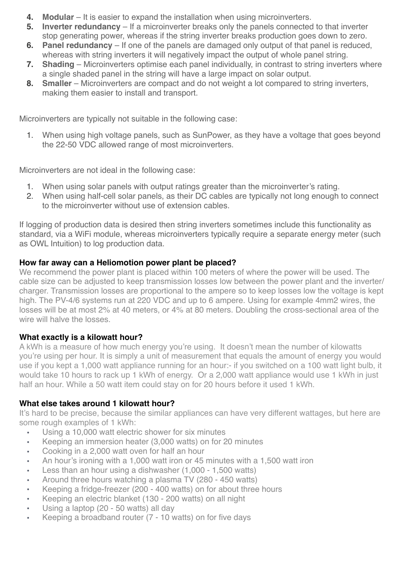- **4. Modular** It is easier to expand the installation when using microinverters.
- **5. Inverter redundancy** If a microinverter breaks only the panels connected to that inverter stop generating power, whereas if the string inverter breaks production goes down to zero.
- **6. Panel redundancy** If one of the panels are damaged only output of that panel is reduced, whereas with string inverters it will negatively impact the output of whole panel string.
- **7. Shading** Microinverters optimise each panel individually, in contrast to string inverters where a single shaded panel in the string will have a large impact on solar output.
- **8. Smaller** Microinverters are compact and do not weight a lot compared to string inverters, making them easier to install and transport.

Microinverters are typically not suitable in the following case:

1. When using high voltage panels, such as SunPower, as they have a voltage that goes beyond the 22-50 VDC allowed range of most microinverters.

Microinverters are not ideal in the following case:

- 1. When using solar panels with output ratings greater than the microinverter's rating.
- 2. When using half-cell solar panels, as their DC cables are typically not long enough to connect to the microinverter without use of extension cables.

If logging of production data is desired then string inverters sometimes include this functionality as standard, via a WiFi module, whereas microinverters typically require a separate energy meter (such as OWL Intuition) to log production data.

## **How far away can a Heliomotion power plant be placed?**

We recommend the power plant is placed within 100 meters of where the power will be used. The cable size can be adjusted to keep transmission losses low between the power plant and the inverter/ charger. Transmission losses are proportional to the ampere so to keep losses low the voltage is kept high. The PV-4/6 systems run at 220 VDC and up to 6 ampere. Using for example 4mm2 wires, the losses will be at most 2% at 40 meters, or 4% at 80 meters. Doubling the cross-sectional area of the wire will halve the losses.

## **What exactly is a kilowatt hour?**

A kWh is a measure of how much energy you're using. It doesn't mean the number of kilowatts you're using per hour. It is simply a unit of measurement that equals the amount of energy you would use if you kept a 1,000 watt appliance running for an hour:- if you switched on a 100 watt light bulb, it would take 10 hours to rack up 1 kWh of energy. Or a 2,000 watt appliance would use 1 kWh in just half an hour. While a 50 watt item could stay on for 20 hours before it used 1 kWh.

## **What else takes around 1 kilowatt hour?**

It's hard to be precise, because the similar appliances can have very different wattages, but here are some rough examples of 1 kWh:

- Using a 10,000 watt electric shower for six minutes
- Keeping an immersion heater (3,000 watts) on for 20 minutes
- Cooking in a 2,000 watt oven for half an hour
- An hour's ironing with a 1,000 watt iron or 45 minutes with a 1,500 watt iron
- Less than an hour using a dishwasher (1,000 1,500 watts)
- Around three hours watching a plasma TV (280 450 watts)
- Keeping a fridge-freezer (200 400 watts) on for about three hours
- Keeping an electric blanket (130 200 watts) on all night
- Using a laptop (20 50 watts) all day
- Keeping a broadband router (7 10 watts) on for five days